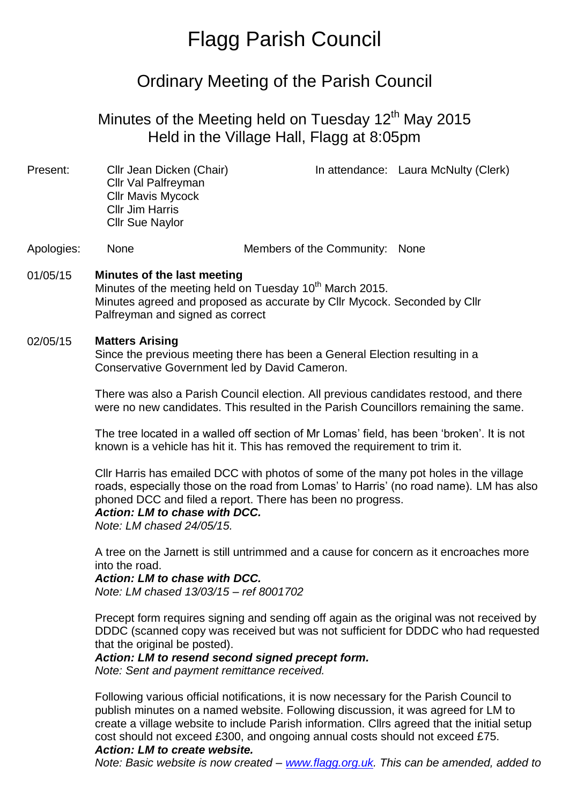# Flagg Parish Council

# Ordinary Meeting of the Parish Council

# Minutes of the Meeting held on Tuesday 12<sup>th</sup> May 2015 Held in the Village Hall, Flagg at 8:05pm

| Present: | Cllr Jean Dicken (Chair) | In attendance: Laura McNulty (Clerk) |
|----------|--------------------------|--------------------------------------|
|          | Cllr Val Palfreyman      |                                      |
|          | <b>Cllr Mavis Mycock</b> |                                      |
|          | <b>Cllr Jim Harris</b>   |                                      |
|          | <b>Cllr Sue Naylor</b>   |                                      |
|          |                          |                                      |

Apologies: None Members of the Community: None

## 01/05/15 **Minutes of the last meeting**

Minutes of the meeting held on Tuesday 10<sup>th</sup> March 2015. Minutes agreed and proposed as accurate by Cllr Mycock. Seconded by Cllr Palfreyman and signed as correct

#### 02/05/15 **Matters Arising**

Since the previous meeting there has been a General Election resulting in a Conservative Government led by David Cameron.

There was also a Parish Council election. All previous candidates restood, and there were no new candidates. This resulted in the Parish Councillors remaining the same.

The tree located in a walled off section of Mr Lomas' field, has been 'broken'. It is not known is a vehicle has hit it. This has removed the requirement to trim it.

Cllr Harris has emailed DCC with photos of some of the many pot holes in the village roads, especially those on the road from Lomas' to Harris' (no road name). LM has also phoned DCC and filed a report. There has been no progress.

#### *Action: LM to chase with DCC.*

*Note: LM chased 24/05/15.*

A tree on the Jarnett is still untrimmed and a cause for concern as it encroaches more into the road.

#### *Action: LM to chase with DCC.*

*Note: LM chased 13/03/15 – ref 8001702*

Precept form requires signing and sending off again as the original was not received by DDDC (scanned copy was received but was not sufficient for DDDC who had requested that the original be posted).

# *Action: LM to resend second signed precept form.*

*Note: Sent and payment remittance received.*

Following various official notifications, it is now necessary for the Parish Council to publish minutes on a named website. Following discussion, it was agreed for LM to create a village website to include Parish information. Cllrs agreed that the initial setup cost should not exceed £300, and ongoing annual costs should not exceed £75.

## *Action: LM to create website.*

*Note: Basic website is now created – [www.flagg.org.uk.](http://www.flagg.org.uk/) This can be amended, added to*